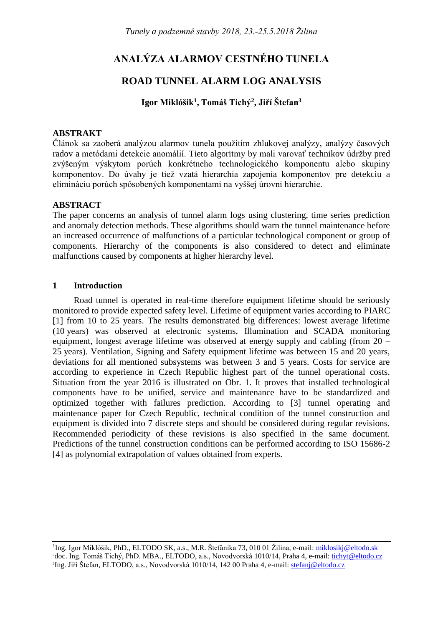# **ANALÝZA ALARMOV CESTNÉHO TUNELA**

## **ROAD TUNNEL ALARM LOG ANALYSIS**

## **Igor Miklóšik<sup>1</sup> , Tomáš Tichý<sup>2</sup> , Jiří Štefan<sup>3</sup>**

#### **ABSTRAKT**

Článok sa zaoberá analýzou alarmov tunela použitím zhlukovej analýzy, analýzy časových radov a metódami detekcie anomálií. Tieto algoritmy by mali varovať technikov údržby pred zvýšeným výskytom porúch konkrétneho technologického komponentu alebo skupiny komponentov. Do úvahy je tiež vzatá hierarchia zapojenia komponentov pre detekciu a elimináciu porúch spôsobených komponentami na vyššej úrovni hierarchie.

#### **ABSTRACT**

The paper concerns an analysis of tunnel alarm logs using clustering, time series prediction and anomaly detection methods. These algorithms should warn the tunnel maintenance before an increased occurrence of malfunctions of a particular technological component or group of components. Hierarchy of the components is also considered to detect and eliminate malfunctions caused by components at higher hierarchy level.

#### **1 Introduction**

Road tunnel is operated in real-time therefore equipment lifetime should be seriously monitored to provide expected safety level. Lifetime of equipment varies according to PIARC [1] from 10 to 25 years. The results demonstrated big differences: lowest average lifetime (10 years) was observed at electronic systems, Illumination and SCADA monitoring equipment, longest average lifetime was observed at energy supply and cabling (from 20 – 25 years). Ventilation, Signing and Safety equipment lifetime was between 15 and 20 years, deviations for all mentioned subsystems was between 3 and 5 years. Costs for service are according to experience in Czech Republic highest part of the tunnel operational costs. Situation from the year 2016 is illustrated on [Obr. 1.](#page-1-0) It proves that installed technological components have to be unified, service and maintenance have to be standardized and optimized together with failures prediction. According to [3] tunnel operating and maintenance paper for Czech Republic, technical condition of the tunnel construction and equipment is divided into 7 discrete steps and should be considered during regular revisions. Recommended periodicity of these revisions is also specified in the same document. Predictions of the tunnel construction conditions can be performed according to ISO 15686-2 [4] as polynomial extrapolation of values obtained from experts.

<sup>&</sup>lt;sup>1</sup>Ing. Igor Miklóšik, PhD., ELTODO SK, a.s., M.R. Štefánika 73, 010 01 Žilina, e-mail: <u>[miklosikj@eltodo.sk](mailto:miklosikj@eltodo.sk)</u> <sup>2</sup>doc. Ing. Tomáš Tichý, PhD. MBA., ELTODO, a.s., Novodvorská 1010/14, Praha 4, e-mail: [tichyt@eltodo.cz](mailto:tichyt@eltodo.cz) <sup>3</sup>Ing. Jiří Štefan, ELTODO, a.s., Novodvorská 1010/14, 142 00 Praha 4, e-mail: <u>stefanj@eltodo.cz</u>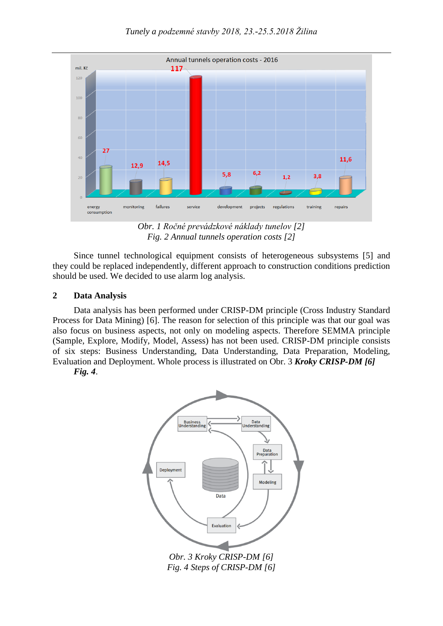



*Obr. 1 Ročné prevádzkové náklady tunelov [2] Fig. 2 Annual tunnels operation costs [2]*

<span id="page-1-0"></span>Since tunnel technological equipment consists of heterogeneous subsystems [5] and they could be replaced independently, different approach to construction conditions prediction should be used. We decided to use alarm log analysis.

#### **2 Data Analysis**

Data analysis has been performed under CRISP-DM principle (Cross Industry Standard Process for Data Mining) [6]. The reason for selection of this principle was that our goal was also focus on business aspects, not only on modeling aspects. Therefore SEMMA principle (Sample, Explore, Modify, Model, Assess) has not been used. CRISP-DM principle consists of six steps: Business Understanding, Data Understanding, Data Preparation, Modeling, Evaluation and Deployment. Whole process is illustrated on Obr. 3 *[Kroky CRISP-DM \[6\]](#page-1-1)*

*[Fig. 4](#page-1-1)*.



<span id="page-1-1"></span>*Fig. 4 Steps of CRISP-DM [6]*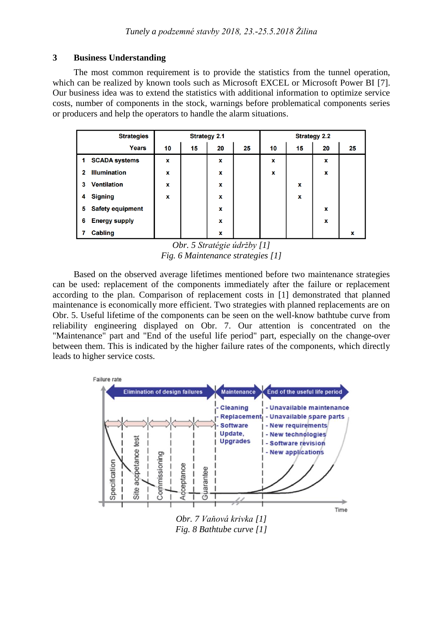#### **3 Business Understanding**

The most common requirement is to provide the statistics from the tunnel operation, which can be realized by known tools such as Microsoft EXCEL or Microsoft Power BI [7]. Our business idea was to extend the statistics with additional information to optimize service costs, number of components in the stock, warnings before problematical components series or producers and help the operators to handle the alarm situations.

|    | <b>Strategies</b>       | <b>Strategy 2.1</b> |    |    | <b>Strategy 2.2</b> |    |    |    |    |
|----|-------------------------|---------------------|----|----|---------------------|----|----|----|----|
|    | <b>Years</b>            | 10                  | 15 | 20 | 25                  | 10 | 15 | 20 | 25 |
| 1. | <b>SCADA systems</b>    | X                   |    | x  |                     | X  |    | x  |    |
| 2  | <b>Illumination</b>     | x                   |    | x  |                     | x  |    | x  |    |
| 3  | <b>Ventilation</b>      | x                   |    | x  |                     |    | x  |    |    |
| 4  | <b>Signing</b>          | $\mathbf x$         |    | x  |                     |    | X  |    |    |
| 5  | <b>Safety equipment</b> |                     |    | X  |                     |    |    | X  |    |
| 6  | <b>Energy supply</b>    |                     |    | x  |                     |    |    | x  |    |
|    | <b>Cabling</b>          |                     |    | x  |                     |    |    |    | x  |

*Obr. 5 Stratégie údržby [1] Fig. 6 Maintenance strategies [1]*

<span id="page-2-0"></span>Based on the observed average lifetimes mentioned before two maintenance strategies can be used: replacement of the components immediately after the failure or replacement according to the plan. Comparison of replacement costs in [1] demonstrated that planned maintenance is economically more efficient. Two strategies with planned replacements are on [Obr. 5.](#page-2-0) Useful lifetime of the components can be seen on the well-know bathtube curve from reliability engineering displayed on [Obr. 7.](#page-2-1) Our attention is concentrated on the "Maintenance" part and "End of the useful life period" part, especially on the change-over between them. This is indicated by the higher failure rates of the components, which directly leads to higher service costs.



<span id="page-2-1"></span>*Fig. 8 Bathtube curve [1]*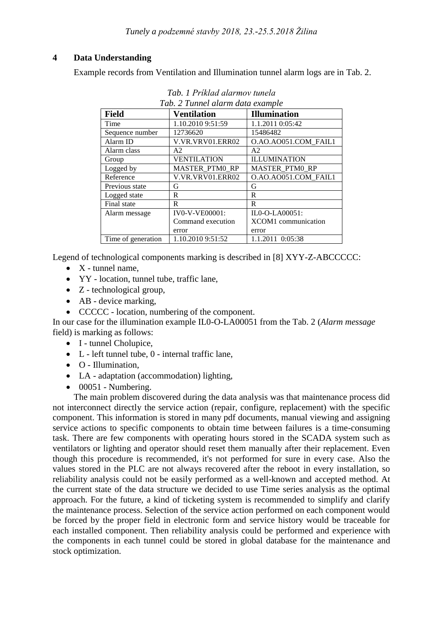## **4 Data Understanding**

<span id="page-3-0"></span>Example records from Ventilation and Illumination tunnel alarm logs are in [Tab. 2.](#page-3-0)

| <b>Field</b>       | <b>Ventilation</b>    | <b>Illumination</b>        |  |  |  |  |  |
|--------------------|-----------------------|----------------------------|--|--|--|--|--|
| Time               | 1.10.2010 9:51:59     | 1.1.2011 0:05:42           |  |  |  |  |  |
| Sequence number    | 12736620              | 15486482                   |  |  |  |  |  |
| Alarm ID           | V.VR.VRV01.ERR02      | O.AO.AO051.COM FAIL1       |  |  |  |  |  |
| Alarm class        | A2                    | A2                         |  |  |  |  |  |
| Group              | <b>VENTILATION</b>    | <b>ILLUMINATION</b>        |  |  |  |  |  |
| Logged by          | <b>MASTER PTM0 RP</b> | MASTER_PTM0_RP             |  |  |  |  |  |
| Reference          | V.VR.VRV01.ERR02      | O.AO.AO051.COM FAIL1       |  |  |  |  |  |
| Previous state     | G                     | G                          |  |  |  |  |  |
| Logged state       | R                     | $\mathbb{R}$               |  |  |  |  |  |
| Final state        | R                     | R                          |  |  |  |  |  |
| Alarm message      | <b>IV0-V-VE00001:</b> | IL0-O-LA00051:             |  |  |  |  |  |
|                    | Command execution     | <b>XCOM1</b> communication |  |  |  |  |  |
|                    | error                 | error                      |  |  |  |  |  |
| Time of generation | 1.10.2010 9:51:52     | 1.1.2011 0:05:38           |  |  |  |  |  |

*Tab. 1 Príklad alarmov tunela Tab. 2 Tunnel alarm data example*

Legend of technological components marking is described in [8] XYY-Z-ABCCCCC:

- $\bullet$  X tunnel name,
- YY location, tunnel tube, traffic lane,
- Z technological group,
- AB device marking,
- CCCCC location, numbering of the component.

In our case for the illumination example IL0-O-LA00051 from the [Tab. 2](#page-3-0) (*Alarm message* field) is marking as follows:

- I tunnel Cholupice,
- L left tunnel tube, 0 internal traffic lane,
- O Illumination,
- LA adaptation (accommodation) lighting,
- $\bullet$  00051 Numbering.

The main problem discovered during the data analysis was that maintenance process did not interconnect directly the service action (repair, configure, replacement) with the specific component. This information is stored in many pdf documents, manual viewing and assigning service actions to specific components to obtain time between failures is a time-consuming task. There are few components with operating hours stored in the SCADA system such as ventilators or lighting and operator should reset them manually after their replacement. Even though this procedure is recommended, it's not performed for sure in every case. Also the values stored in the PLC are not always recovered after the reboot in every installation, so reliability analysis could not be easily performed as a well-known and accepted method. At the current state of the data structure we decided to use Time series analysis as the optimal approach. For the future, a kind of ticketing system is recommended to simplify and clarify the maintenance process. Selection of the service action performed on each component would be forced by the proper field in electronic form and service history would be traceable for each installed component. Then reliability analysis could be performed and experience with the components in each tunnel could be stored in global database for the maintenance and stock optimization.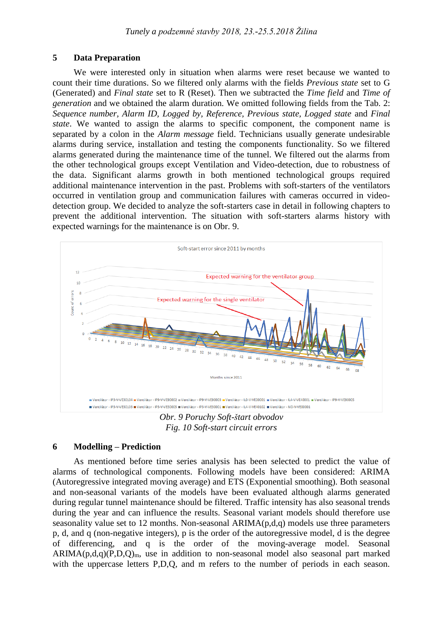#### **5 Data Preparation**

We were interested only in situation when alarms were reset because we wanted to count their time durations. So we filtered only alarms with the fields *Previous state* set to G (Generated) and *Final state* set to R (Reset). Then we subtracted the *Time field* and *Time of generation* and we obtained the alarm duration. We omitted following fields from the [Tab. 2:](#page-3-0) *Sequence number, Alarm ID, Logged by, Reference, Previous state, Logged state* and *Final state*. We wanted to assign the alarms to specific component, the component name is separated by a colon in the *Alarm message* field. Technicians usually generate undesirable alarms during service, installation and testing the components functionality. So we filtered alarms generated during the maintenance time of the tunnel. We filtered out the alarms from the other technological groups except Ventilation and Video-detection, due to robustness of the data. Significant alarms growth in both mentioned technological groups required additional maintenance intervention in the past. Problems with soft-starters of the ventilators occurred in ventilation group and communication failures with cameras occurred in videodetection group. We decided to analyze the soft-starters case in detail in following chapters to prevent the additional intervention. The situation with soft-starters alarms history with expected warnings for the maintenance is on [Obr. 9.](#page-4-0)



*Obr. 9 Poruchy Soft-štart obvodov Fig. 10 Soft-start circuit errors*

## <span id="page-4-0"></span>**6 Modelling – Prediction**

As mentioned before time series analysis has been selected to predict the value of alarms of technological components. Following models have been considered: ARIMA (Autoregressive integrated moving average) and ETS (Exponential smoothing). Both seasonal and non-seasonal variants of the models have been evaluated although alarms generated during regular tunnel maintenance should be filtered. Traffic intensity has also seasonal trends during the year and can influence the results. Seasonal variant models should therefore use seasonality value set to 12 months. Non-seasonal  $ARIMA(p,d,q)$  models use three parameters p, d, and q (non-negative integers), p is the order of the autoregressive model, d is the degree of differencing, and q is the order of the moving-average model. Seasonal  $ARIMA(p,d,q)(P,D,Q)<sub>m</sub>$ , use in addition to non-seasonal model also seasonal part marked with the uppercase letters P,D,Q, and m refers to the number of periods in each season.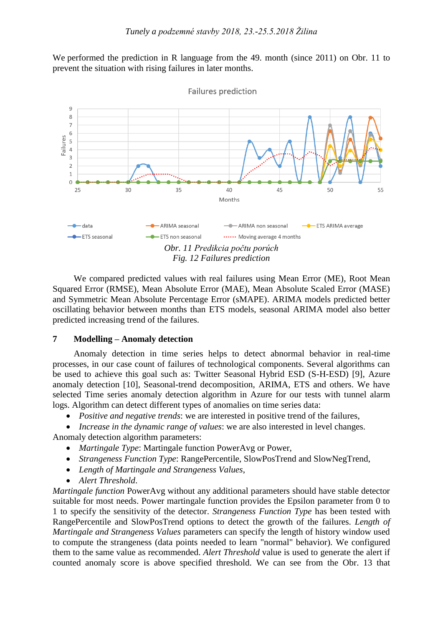We performed the prediction in R language from the 49. month (since 2011) on [Obr. 11](#page-5-0) to prevent the situation with rising failures in later months.



<span id="page-5-0"></span>We compared predicted values with real failures using Mean Error (ME), Root Mean Squared Error (RMSE), Mean Absolute Error (MAE), Mean Absolute Scaled Error (MASE) and Symmetric Mean Absolute Percentage Error (sMAPE). ARIMA models predicted better oscillating behavior between months than ETS models, seasonal ARIMA model also better predicted increasing trend of the failures.

#### **7 Modelling – Anomaly detection**

Anomaly detection in time series helps to detect abnormal behavior in real-time processes, in our case count of failures of technological components. Several algorithms can be used to achieve this goal such as: Twitter Seasonal Hybrid ESD (S-H-ESD) [9], Azure anomaly detection [10], Seasonal-trend decomposition, ARIMA, ETS and others. We have selected Time series anomaly detection algorithm in Azure for our tests with tunnel alarm logs. Algorithm can detect different types of anomalies on time series data:

*Positive and negative trends*: we are interested in positive trend of the failures,

 *Increase in the dynamic range of values*: we are also interested in level changes. Anomaly detection algorithm parameters:

- *Martingale Type*: Martingale function PowerAvg or Power,
- *Strangeness Function Type*: RangePercentile, SlowPosTrend and SlowNegTrend,
- *Length of Martingale and Strangeness Values*,
- *Alert Threshold*.

*Martingale function* PowerAvg without any additional parameters should have stable detector suitable for most needs. Power martingale function provides the Epsilon parameter from 0 to 1 to specify the sensitivity of the detector. *Strangeness Function Type* has been tested with RangePercentile and SlowPosTrend options to detect the growth of the failures. *Length of Martingale and Strangeness Values* parameters can specify the length of history window used to compute the strangeness (data points needed to learn "normal" behavior). We configured them to the same value as recommended. *Alert Threshold* value is used to generate the alert if counted anomaly score is above specified threshold. We can see from the [Obr. 13](#page-6-0) that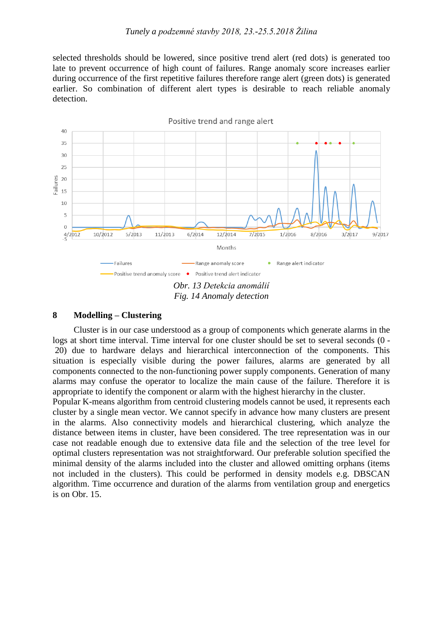selected thresholds should be lowered, since positive trend alert (red dots) is generated too late to prevent occurrence of high count of failures. Range anomaly score increases earlier during occurrence of the first repetitive failures therefore range alert (green dots) is generated earlier. So combination of different alert types is desirable to reach reliable anomaly detection.



#### <span id="page-6-0"></span>**8 Modelling – Clustering**

Cluster is in our case understood as a group of components which generate alarms in the logs at short time interval. Time interval for one cluster should be set to several seconds (0 - 20) due to hardware delays and hierarchical interconnection of the components. This situation is especially visible during the power failures, alarms are generated by all components connected to the non-functioning power supply components. Generation of many alarms may confuse the operator to localize the main cause of the failure. Therefore it is appropriate to identify the component or alarm with the highest hierarchy in the cluster.

Popular K-means algorithm from centroid clustering models cannot be used, it represents each cluster by a single mean vector. We cannot specify in advance how many clusters are present in the alarms. Also connectivity models and hierarchical clustering, which analyze the distance between items in cluster, have been considered. The tree representation was in our case not readable enough due to extensive data file and the selection of the tree level for optimal clusters representation was not straightforward. Our preferable solution specified the minimal density of the alarms included into the cluster and allowed omitting orphans (items not included in the clusters). This could be performed in density models e.g. DBSCAN algorithm. Time occurrence and duration of the alarms from ventilation group and energetics is on [Obr. 15.](#page-7-0)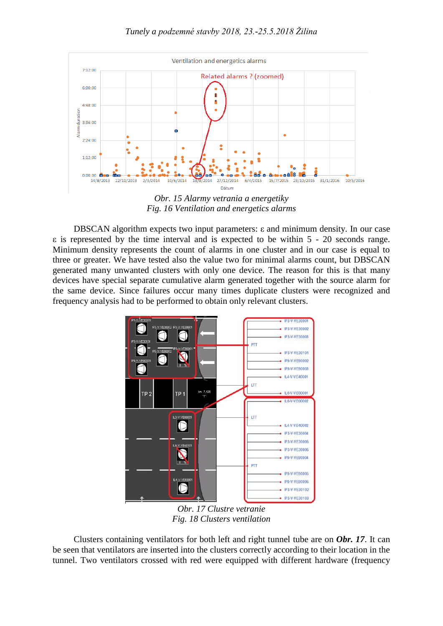

*Fig. 16 Ventilation and energetics alarms*

<span id="page-7-0"></span>DBSCAN algorithm expects two input parameters: ε and minimum density. In our case ε is represented by the time interval and is expected to be within 5 - 20 seconds range. Minimum density represents the count of alarms in one cluster and in our case is equal to three or greater. We have tested also the value two for minimal alarms count, but DBSCAN generated many unwanted clusters with only one device. The reason for this is that many devices have special separate cumulative alarm generated together with the source alarm for the same device. Since failures occur many times duplicate clusters were recognized and frequency analysis had to be performed to obtain only relevant clusters.



*Obr. 17 Clustre vetranie Fig. 18 Clusters ventilation*

<span id="page-7-1"></span>Clusters containing ventilators for both left and right tunnel tube are on *[Obr. 17](#page-7-1)*. It can be seen that ventilators are inserted into the clusters correctly according to their location in the tunnel. Two ventilators crossed with red were equipped with different hardware (frequency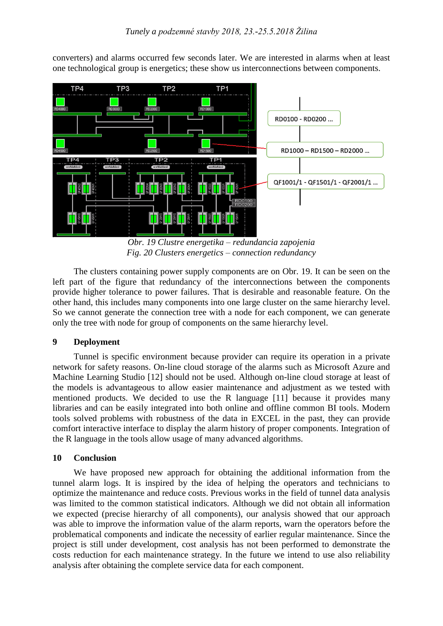

converters) and alarms occurred few seconds later. We are interested in alarms when at least one technological group is energetics; these show us interconnections between components.

*Obr. 19 Clustre energetika – redundancia zapojenia Fig. 20 Clusters energetics – connection redundancy*

<span id="page-8-0"></span>The clusters containing power supply components are on [Obr. 19.](#page-8-0) It can be seen on the left part of the figure that redundancy of the interconnections between the components provide higher tolerance to power failures. That is desirable and reasonable feature. On the other hand, this includes many components into one large cluster on the same hierarchy level. So we cannot generate the connection tree with a node for each component, we can generate only the tree with node for group of components on the same hierarchy level.

## **9 Deployment**

Tunnel is specific environment because provider can require its operation in a private network for safety reasons. On-line cloud storage of the alarms such as Microsoft Azure and Machine Learning Studio [12] should not be used. Although on-line cloud storage at least of the models is advantageous to allow easier maintenance and adjustment as we tested with mentioned products. We decided to use the R language [11] because it provides many libraries and can be easily integrated into both online and offline common BI tools. Modern tools solved problems with robustness of the data in EXCEL in the past, they can provide comfort interactive interface to display the alarm history of proper components. Integration of the R language in the tools allow usage of many advanced algorithms.

## **10 Conclusion**

We have proposed new approach for obtaining the additional information from the tunnel alarm logs. It is inspired by the idea of helping the operators and technicians to optimize the maintenance and reduce costs. Previous works in the field of tunnel data analysis was limited to the common statistical indicators. Although we did not obtain all information we expected (precise hierarchy of all components), our analysis showed that our approach was able to improve the information value of the alarm reports, warn the operators before the problematical components and indicate the necessity of earlier regular maintenance. Since the project is still under development, cost analysis has not been performed to demonstrate the costs reduction for each maintenance strategy. In the future we intend to use also reliability analysis after obtaining the complete service data for each component.